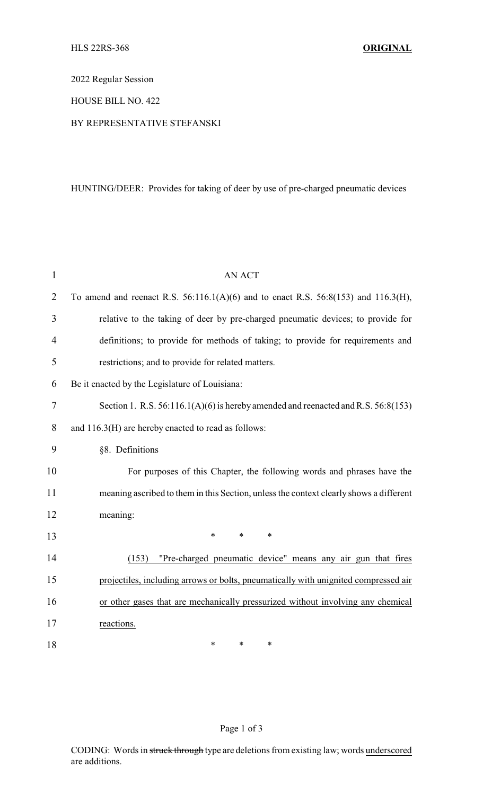2022 Regular Session

### HOUSE BILL NO. 422

### BY REPRESENTATIVE STEFANSKI

# HUNTING/DEER: Provides for taking of deer by use of pre-charged pneumatic devices

| $\mathbf{1}$   | <b>AN ACT</b>                                                                             |
|----------------|-------------------------------------------------------------------------------------------|
| $\overline{2}$ | To amend and reenact R.S. $56:116.1(A)(6)$ and to enact R.S. $56:8(153)$ and $116.3(H)$ , |
| 3              | relative to the taking of deer by pre-charged pneumatic devices; to provide for           |
| $\overline{4}$ | definitions; to provide for methods of taking; to provide for requirements and            |
| 5              | restrictions; and to provide for related matters.                                         |
| 6              | Be it enacted by the Legislature of Louisiana:                                            |
| $\tau$         | Section 1. R.S. $56:116.1(A)(6)$ is hereby amended and reenacted and R.S. $56:8(153)$     |
| 8              | and 116.3(H) are hereby enacted to read as follows:                                       |
| 9              | §8. Definitions                                                                           |
| 10             | For purposes of this Chapter, the following words and phrases have the                    |
| 11             | meaning ascribed to them in this Section, unless the context clearly shows a different    |
| 12             | meaning:                                                                                  |
| 13             | $\ast$<br>$\ast$<br>$\ast$                                                                |
| 14             | "Pre-charged pneumatic device" means any air gun that fires<br>(153)                      |
| 15             | projectiles, including arrows or bolts, pneumatically with unignited compressed air       |
| 16             | or other gases that are mechanically pressurized without involving any chemical           |
| 17             | reactions.                                                                                |
| 18             | *<br>*<br>*                                                                               |

# Page 1 of 3

CODING: Words in struck through type are deletions from existing law; words underscored are additions.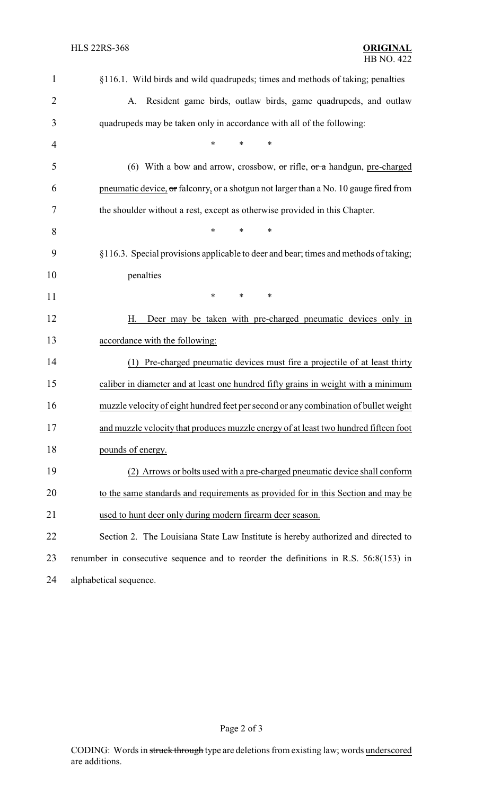| $\mathbf{1}$   | §116.1. Wild birds and wild quadrupeds; times and methods of taking; penalties          |  |  |
|----------------|-----------------------------------------------------------------------------------------|--|--|
| $\overline{2}$ | Resident game birds, outlaw birds, game quadrupeds, and outlaw<br>A.                    |  |  |
| 3              | quadrupeds may be taken only in accordance with all of the following:                   |  |  |
| 4              | $\ast$<br>*<br>*                                                                        |  |  |
| 5              | (6) With a bow and arrow, crossbow, $\sigma r$ rifle, $\sigma r$ a handgun, pre-charged |  |  |
| 6              | pneumatic device, or falconry, or a shotgun not larger than a No. 10 gauge fired from   |  |  |
| 7              | the shoulder without a rest, except as otherwise provided in this Chapter.              |  |  |
| 8              | $\ast$<br>*<br>∗                                                                        |  |  |
| 9              | §116.3. Special provisions applicable to deer and bear; times and methods of taking;    |  |  |
| 10             | penalties                                                                               |  |  |
| 11             | *<br>*<br>∗                                                                             |  |  |
| 12             | Deer may be taken with pre-charged pneumatic devices only in<br>Н.                      |  |  |
| 13             | accordance with the following:                                                          |  |  |
| 14             | (1) Pre-charged pneumatic devices must fire a projectile of at least thirty             |  |  |
| 15             | caliber in diameter and at least one hundred fifty grains in weight with a minimum      |  |  |
| 16             | muzzle velocity of eight hundred feet per second or any combination of bullet weight    |  |  |
| 17             | and muzzle velocity that produces muzzle energy of at least two hundred fifteen foot    |  |  |
| 18             | pounds of energy.                                                                       |  |  |
| 19             | (2) Arrows or bolts used with a pre-charged pneumatic device shall conform              |  |  |
| 20             | to the same standards and requirements as provided for in this Section and may be       |  |  |
| 21             | used to hunt deer only during modern firearm deer season.                               |  |  |
| 22             | Section 2. The Louisiana State Law Institute is hereby authorized and directed to       |  |  |
| 23             | renumber in consecutive sequence and to reorder the definitions in R.S. $56:8(153)$ in  |  |  |
| 24             | alphabetical sequence.                                                                  |  |  |